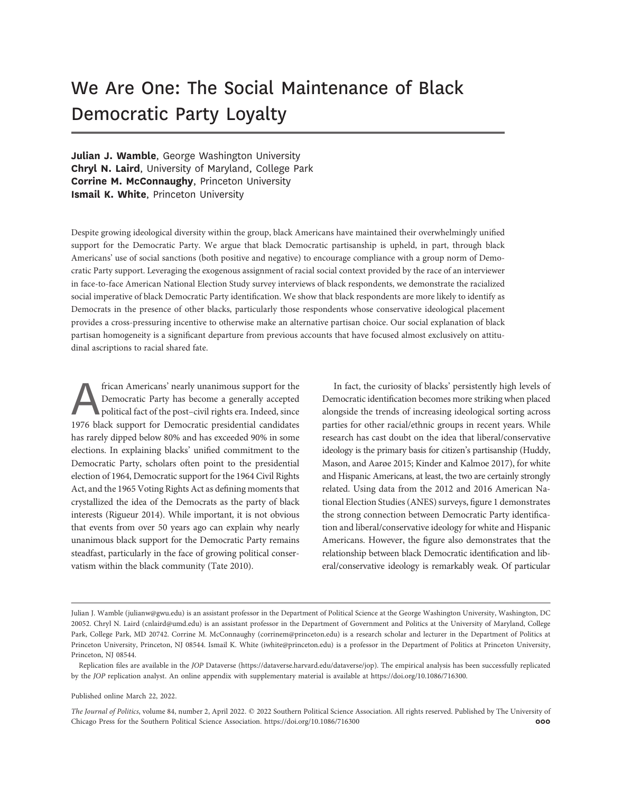# We Are One: The Social Maintenance of Black Democratic Party Loyalty

Julian J. Wamble, George Washington University Chryl N. Laird, University of Maryland, College Park Corrine M. McConnaughy, Princeton University Ismail K. White, Princeton University

Despite growing ideological diversity within the group, black Americans have maintained their overwhelmingly unified support for the Democratic Party. We argue that black Democratic partisanship is upheld, in part, through black Americans' use of social sanctions (both positive and negative) to encourage compliance with a group norm of Democratic Party support. Leveraging the exogenous assignment of racial social context provided by the race of an interviewer in face-to-face American National Election Study survey interviews of black respondents, we demonstrate the racialized social imperative of black Democratic Party identification. We show that black respondents are more likely to identify as Democrats in the presence of other blacks, particularly those respondents whose conservative ideological placement provides a cross-pressuring incentive to otherwise make an alternative partisan choice. Our social explanation of black partisan homogeneity is a significant departure from previous accounts that have focused almost exclusively on attitudinal ascriptions to racial shared fate.

frican Americans' nearly unanimous support for the<br>Democratic Party has become a generally accepted<br>political fact of the post-civil rights era. Indeed, since<br>1976 black support for Democratic presidential candidates Democratic Party has become a generally accepted political fact of the post–civil rights era. Indeed, since 1976 black support for Democratic presidential candidates has rarely dipped below 80% and has exceeded 90% in some elections. In explaining blacks' unified commitment to the Democratic Party, scholars often point to the presidential election of 1964, Democratic support for the 1964 Civil Rights Act, and the 1965 Voting Rights Act as defining moments that crystallized the idea of the Democrats as the party of black interests (Rigueur 2014). While important, it is not obvious that events from over 50 years ago can explain why nearly unanimous black support for the Democratic Party remains steadfast, particularly in the face of growing political conservatism within the black community (Tate 2010).

In fact, the curiosity of blacks' persistently high levels of Democratic identification becomes more striking when placed alongside the trends of increasing ideological sorting across parties for other racial/ethnic groups in recent years. While research has cast doubt on the idea that liberal/conservative ideology is the primary basis for citizen's partisanship (Huddy, Mason, and Aarøe 2015; Kinder and Kalmoe 2017), for white and Hispanic Americans, at least, the two are certainly strongly related. Using data from the 2012 and 2016 American National Election Studies (ANES) surveys, figure 1 demonstrates the strong connection between Democratic Party identification and liberal/conservative ideology for white and Hispanic Americans. However, the figure also demonstrates that the relationship between black Democratic identification and liberal/conservative ideology is remarkably weak. Of particular

#### Published online March 22, 2022.

The Journal of Politics, volume 84, number 2, April 2022. © 2022 Southern Political Science Association. All rights reserved. Published by The University of Chicago Press for the Southern Political Science Association. https://doi.org/10.1086/716300 000 000 000 000 000

Julian J. Wamble ([julianw@gwu.edu](mailto:julianw@gwu.edu)) is an assistant professor in the Department of Political Science at the George Washington University, Washington, DC 20052. Chryl N. Laird [\(cnlaird@umd.edu\)](mailto:cnlaird@umd.edu) is an assistant professor in the Department of Government and Politics at the University of Maryland, College Park, College Park, MD 20742. Corrine M. McConnaughy ([corrinem@princeton.edu\)](mailto:corrinem@princeton.edu) is a research scholar and lecturer in the Department of Politics at Princeton University, Princeton, NJ 08544. Ismail K. White [\(iwhite@princeton.edu](mailto:iwhite@princeton.edu)) is a professor in the Department of Politics at Princeton University, Princeton, NJ 08544.

Replication files are available in the JOP Dataverse ([https://dataverse.harvard.edu/dataverse/jop\)](https://dataverse.harvard.edu/dataverse/jop). The empirical analysis has been successfully replicated by the JOP replication analyst. An online appendix with supplementary material is available at<https://doi.org/10.1086/716300>.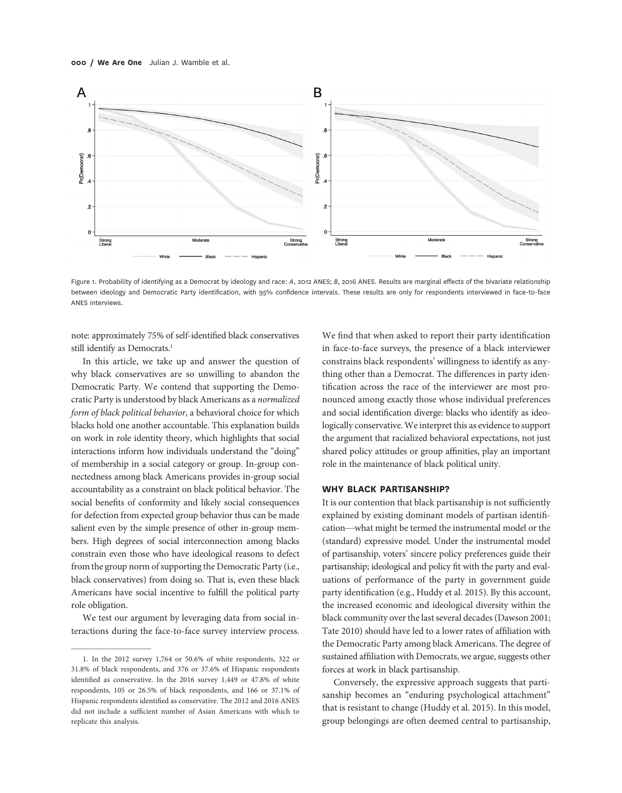

Figure 1. Probability of identifying as a Democrat by ideology and race: A, 2012 ANES; B, 2016 ANES. Results are marginal effects of the bivariate relationship between ideology and Democratic Party identification, with 95% confidence intervals. These results are only for respondents interviewed in face-to-face ANES interviews.

note: approximately 75% of self-identified black conservatives still identify as Democrats.<sup>1</sup>

In this article, we take up and answer the question of why black conservatives are so unwilling to abandon the Democratic Party. We contend that supporting the Democratic Party is understood by black Americans as a normalized form of black political behavior, a behavioral choice for which blacks hold one another accountable. This explanation builds on work in role identity theory, which highlights that social interactions inform how individuals understand the "doing" of membership in a social category or group. In-group connectedness among black Americans provides in-group social accountability as a constraint on black political behavior. The social benefits of conformity and likely social consequences for defection from expected group behavior thus can be made salient even by the simple presence of other in-group members. High degrees of social interconnection among blacks constrain even those who have ideological reasons to defect from the group norm of supporting the Democratic Party (i.e., black conservatives) from doing so. That is, even these black Americans have social incentive to fulfill the political party role obligation.

We test our argument by leveraging data from social interactions during the face-to-face survey interview process.

We find that when asked to report their party identification in face-to-face surveys, the presence of a black interviewer constrains black respondents' willingness to identify as anything other than a Democrat. The differences in party identification across the race of the interviewer are most pronounced among exactly those whose individual preferences and social identification diverge: blacks who identify as ideologically conservative. We interpret this as evidence to support the argument that racialized behavioral expectations, not just shared policy attitudes or group affinities, play an important role in the maintenance of black political unity.

#### WHY BLACK PARTISANSHIP?

It is our contention that black partisanship is not sufficiently explained by existing dominant models of partisan identification—what might be termed the instrumental model or the (standard) expressive model. Under the instrumental model of partisanship, voters' sincere policy preferences guide their partisanship; ideological and policy fit with the party and evaluations of performance of the party in government guide party identification (e.g., Huddy et al. 2015). By this account, the increased economic and ideological diversity within the black community over the last several decades (Dawson 2001; Tate 2010) should have led to a lower rates of affiliation with the Democratic Party among black Americans. The degree of sustained affiliation with Democrats, we argue, suggests other forces at work in black partisanship.

Conversely, the expressive approach suggests that partisanship becomes an "enduring psychological attachment" that is resistant to change (Huddy et al. 2015). In this model, group belongings are often deemed central to partisanship,

<sup>1.</sup> In the 2012 survey 1,764 or 50.6% of white respondents, 322 or 31.8% of black respondents, and 376 or 37.6% of Hispanic respondents identified as conservative. In the 2016 survey 1,449 or 47.8% of white respondents, 105 or 26.5% of black respondents, and 166 or 37.1% of Hispanic respondents identified as conservative. The 2012 and 2016 ANES did not include a sufficient number of Asian Americans with which to replicate this analysis.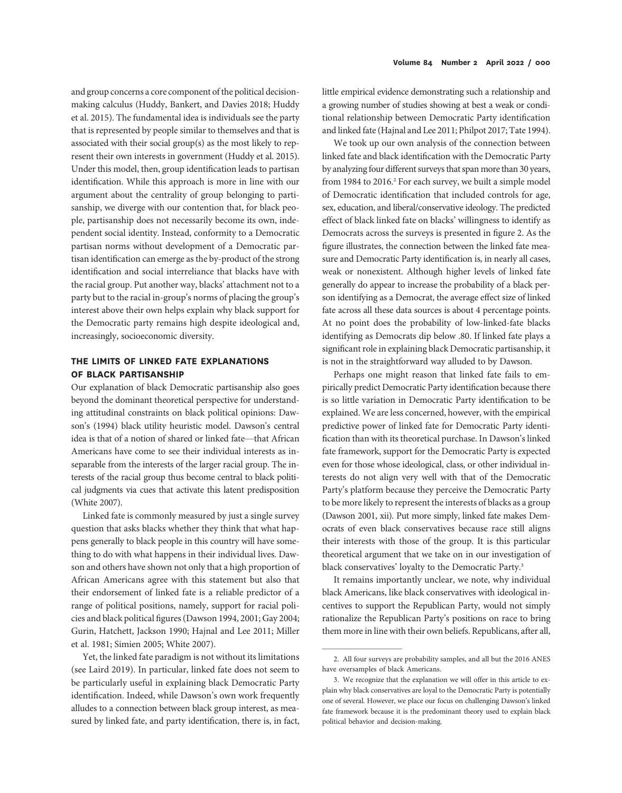and group concerns a core component of the political decisionmaking calculus (Huddy, Bankert, and Davies 2018; Huddy et al. 2015). The fundamental idea is individuals see the party that is represented by people similar to themselves and that is associated with their social group(s) as the most likely to represent their own interests in government (Huddy et al. 2015). Under this model, then, group identification leads to partisan identification. While this approach is more in line with our argument about the centrality of group belonging to partisanship, we diverge with our contention that, for black people, partisanship does not necessarily become its own, independent social identity. Instead, conformity to a Democratic partisan norms without development of a Democratic partisan identification can emerge as the by-product of the strong identification and social interreliance that blacks have with the racial group. Put another way, blacks' attachment not to a party but to the racial in-group's norms of placing the group's interest above their own helps explain why black support for the Democratic party remains high despite ideological and, increasingly, socioeconomic diversity.

#### THE LIMITS OF LINKED FATE EXPLANATIONS OF BLACK PARTISANSHIP

Our explanation of black Democratic partisanship also goes beyond the dominant theoretical perspective for understanding attitudinal constraints on black political opinions: Dawson's (1994) black utility heuristic model. Dawson's central idea is that of a notion of shared or linked fate—that African Americans have come to see their individual interests as inseparable from the interests of the larger racial group. The interests of the racial group thus become central to black political judgments via cues that activate this latent predisposition (White 2007).

Linked fate is commonly measured by just a single survey question that asks blacks whether they think that what happens generally to black people in this country will have something to do with what happens in their individual lives. Dawson and others have shown not only that a high proportion of African Americans agree with this statement but also that their endorsement of linked fate is a reliable predictor of a range of political positions, namely, support for racial policies and black political figures (Dawson 1994, 2001; Gay 2004; Gurin, Hatchett, Jackson 1990; Hajnal and Lee 2011; Miller et al. 1981; Simien 2005; White 2007).

Yet, the linked fate paradigm is not without its limitations (see Laird 2019). In particular, linked fate does not seem to be particularly useful in explaining black Democratic Party identification. Indeed, while Dawson's own work frequently alludes to a connection between black group interest, as measured by linked fate, and party identification, there is, in fact,

little empirical evidence demonstrating such a relationship and a growing number of studies showing at best a weak or conditional relationship between Democratic Party identification and linked fate (Hajnal and Lee 2011; Philpot 2017; Tate 1994).

We took up our own analysis of the connection between linked fate and black identification with the Democratic Party by analyzing four different surveys that span more than 30 years, from 1984 to 2016.<sup>2</sup> For each survey, we built a simple model of Democratic identification that included controls for age, sex, education, and liberal/conservative ideology. The predicted effect of black linked fate on blacks' willingness to identify as Democrats across the surveys is presented in figure 2. As the figure illustrates, the connection between the linked fate measure and Democratic Party identification is, in nearly all cases, weak or nonexistent. Although higher levels of linked fate generally do appear to increase the probability of a black person identifying as a Democrat, the average effect size of linked fate across all these data sources is about 4 percentage points. At no point does the probability of low-linked-fate blacks identifying as Democrats dip below .80. If linked fate plays a significant role in explaining black Democratic partisanship, it is not in the straightforward way alluded to by Dawson.

Perhaps one might reason that linked fate fails to empirically predict Democratic Party identification because there is so little variation in Democratic Party identification to be explained. We are less concerned, however, with the empirical predictive power of linked fate for Democratic Party identification than with its theoretical purchase. In Dawson's linked fate framework, support for the Democratic Party is expected even for those whose ideological, class, or other individual interests do not align very well with that of the Democratic Party's platform because they perceive the Democratic Party to be more likely to represent the interests of blacks as a group (Dawson 2001, xii). Put more simply, linked fate makes Democrats of even black conservatives because race still aligns their interests with those of the group. It is this particular theoretical argument that we take on in our investigation of black conservatives' loyalty to the Democratic Party.<sup>3</sup>

It remains importantly unclear, we note, why individual black Americans, like black conservatives with ideological incentives to support the Republican Party, would not simply rationalize the Republican Party's positions on race to bring them more in line with their own beliefs. Republicans, after all,

<sup>2.</sup> All four surveys are probability samples, and all but the 2016 ANES have oversamples of black Americans.

<sup>3.</sup> We recognize that the explanation we will offer in this article to explain why black conservatives are loyal to the Democratic Party is potentially one of several. However, we place our focus on challenging Dawson's linked fate framework because it is the predominant theory used to explain black political behavior and decision-making.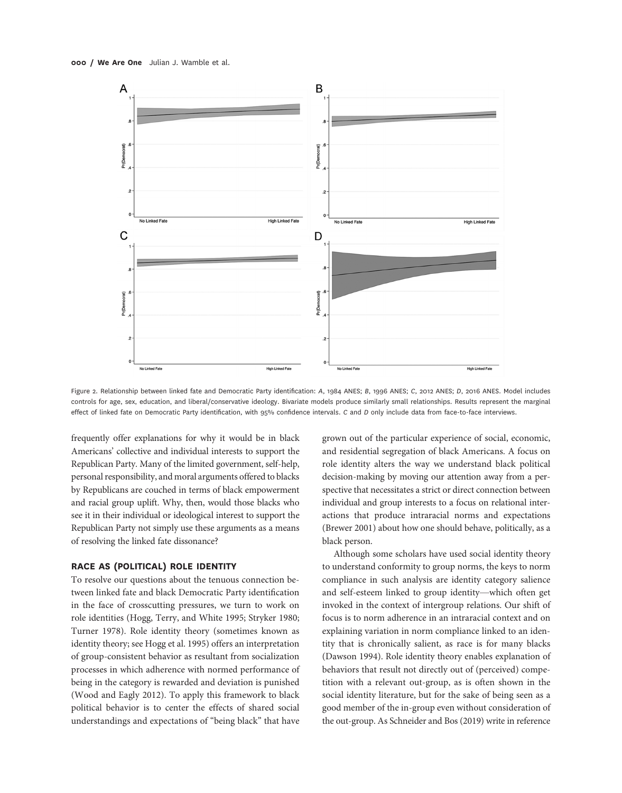

Figure 2. Relationship between linked fate and Democratic Party identification: A, 1984 ANES; B, 1996 ANES; C, 2012 ANES; D, 2016 ANES. Model includes controls for age, sex, education, and liberal/conservative ideology. Bivariate models produce similarly small relationships. Results represent the marginal effect of linked fate on Democratic Party identification, with 95% confidence intervals. C and D only include data from face-to-face interviews.

frequently offer explanations for why it would be in black Americans' collective and individual interests to support the Republican Party. Many of the limited government, self-help, personal responsibility, and moral arguments offered to blacks by Republicans are couched in terms of black empowerment and racial group uplift. Why, then, would those blacks who see it in their individual or ideological interest to support the Republican Party not simply use these arguments as a means of resolving the linked fate dissonance?

#### RACE AS (POLITICAL) ROLE IDENTITY

To resolve our questions about the tenuous connection between linked fate and black Democratic Party identification in the face of crosscutting pressures, we turn to work on role identities (Hogg, Terry, and White 1995; Stryker 1980; Turner 1978). Role identity theory (sometimes known as identity theory; see Hogg et al. 1995) offers an interpretation of group-consistent behavior as resultant from socialization processes in which adherence with normed performance of being in the category is rewarded and deviation is punished (Wood and Eagly 2012). To apply this framework to black political behavior is to center the effects of shared social understandings and expectations of "being black" that have grown out of the particular experience of social, economic, and residential segregation of black Americans. A focus on role identity alters the way we understand black political decision-making by moving our attention away from a perspective that necessitates a strict or direct connection between individual and group interests to a focus on relational interactions that produce intraracial norms and expectations (Brewer 2001) about how one should behave, politically, as a black person.

Although some scholars have used social identity theory to understand conformity to group norms, the keys to norm compliance in such analysis are identity category salience and self-esteem linked to group identity—which often get invoked in the context of intergroup relations. Our shift of focus is to norm adherence in an intraracial context and on explaining variation in norm compliance linked to an identity that is chronically salient, as race is for many blacks (Dawson 1994). Role identity theory enables explanation of behaviors that result not directly out of (perceived) competition with a relevant out-group, as is often shown in the social identity literature, but for the sake of being seen as a good member of the in-group even without consideration of the out-group. As Schneider and Bos (2019) write in reference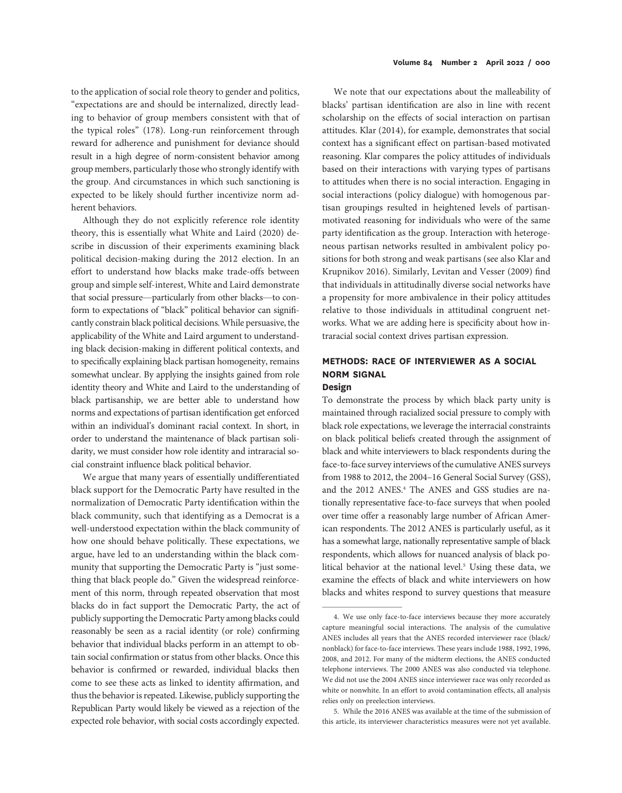to the application of social role theory to gender and politics, "expectations are and should be internalized, directly leading to behavior of group members consistent with that of the typical roles" (178). Long-run reinforcement through reward for adherence and punishment for deviance should result in a high degree of norm-consistent behavior among group members, particularly those who strongly identify with the group. And circumstances in which such sanctioning is expected to be likely should further incentivize norm adherent behaviors.

Although they do not explicitly reference role identity theory, this is essentially what White and Laird (2020) describe in discussion of their experiments examining black political decision-making during the 2012 election. In an effort to understand how blacks make trade-offs between group and simple self-interest, White and Laird demonstrate that social pressure—particularly from other blacks—to conform to expectations of "black" political behavior can significantly constrain black political decisions. While persuasive, the applicability of the White and Laird argument to understanding black decision-making in different political contexts, and to specifically explaining black partisan homogeneity, remains somewhat unclear. By applying the insights gained from role identity theory and White and Laird to the understanding of black partisanship, we are better able to understand how norms and expectations of partisan identification get enforced within an individual's dominant racial context. In short, in order to understand the maintenance of black partisan solidarity, we must consider how role identity and intraracial social constraint influence black political behavior.

We argue that many years of essentially undifferentiated black support for the Democratic Party have resulted in the normalization of Democratic Party identification within the black community, such that identifying as a Democrat is a well-understood expectation within the black community of how one should behave politically. These expectations, we argue, have led to an understanding within the black community that supporting the Democratic Party is "just something that black people do." Given the widespread reinforcement of this norm, through repeated observation that most blacks do in fact support the Democratic Party, the act of publicly supporting the Democratic Party among blacks could reasonably be seen as a racial identity (or role) confirming behavior that individual blacks perform in an attempt to obtain social confirmation or status from other blacks. Once this behavior is confirmed or rewarded, individual blacks then come to see these acts as linked to identity affirmation, and thus the behavior is repeated. Likewise, publicly supporting the Republican Party would likely be viewed as a rejection of the expected role behavior, with social costs accordingly expected.

We note that our expectations about the malleability of blacks' partisan identification are also in line with recent scholarship on the effects of social interaction on partisan attitudes. Klar (2014), for example, demonstrates that social context has a significant effect on partisan-based motivated reasoning. Klar compares the policy attitudes of individuals based on their interactions with varying types of partisans to attitudes when there is no social interaction. Engaging in social interactions (policy dialogue) with homogenous partisan groupings resulted in heightened levels of partisanmotivated reasoning for individuals who were of the same party identification as the group. Interaction with heterogeneous partisan networks resulted in ambivalent policy positions for both strong and weak partisans (see also Klar and Krupnikov 2016). Similarly, Levitan and Vesser (2009) find that individuals in attitudinally diverse social networks have a propensity for more ambivalence in their policy attitudes relative to those individuals in attitudinal congruent networks. What we are adding here is specificity about how intraracial social context drives partisan expression.

## METHODS: RACE OF INTERVIEWER AS A SOCIAL NORM SIGNAL

#### Design

To demonstrate the process by which black party unity is maintained through racialized social pressure to comply with black role expectations, we leverage the interracial constraints on black political beliefs created through the assignment of black and white interviewers to black respondents during the face-to-face survey interviews of the cumulative ANES surveys from 1988 to 2012, the 2004–16 General Social Survey (GSS), and the 2012 ANES.<sup>4</sup> The ANES and GSS studies are nationally representative face-to-face surveys that when pooled over time offer a reasonably large number of African American respondents. The 2012 ANES is particularly useful, as it has a somewhat large, nationally representative sample of black respondents, which allows for nuanced analysis of black political behavior at the national level.<sup>5</sup> Using these data, we examine the effects of black and white interviewers on how blacks and whites respond to survey questions that measure

<sup>4.</sup> We use only face-to-face interviews because they more accurately capture meaningful social interactions. The analysis of the cumulative ANES includes all years that the ANES recorded interviewer race (black/ nonblack) for face-to-face interviews. These years include 1988, 1992, 1996, 2008, and 2012. For many of the midterm elections, the ANES conducted telephone interviews. The 2000 ANES was also conducted via telephone. We did not use the 2004 ANES since interviewer race was only recorded as white or nonwhite. In an effort to avoid contamination effects, all analysis relies only on preelection interviews.

<sup>5.</sup> While the 2016 ANES was available at the time of the submission of this article, its interviewer characteristics measures were not yet available.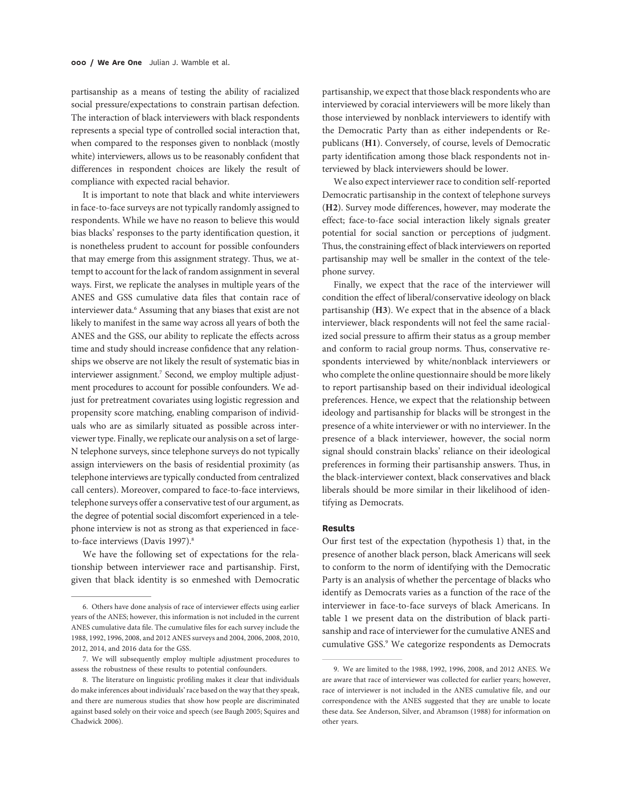partisanship as a means of testing the ability of racialized social pressure/expectations to constrain partisan defection. The interaction of black interviewers with black respondents represents a special type of controlled social interaction that, when compared to the responses given to nonblack (mostly white) interviewers, allows us to be reasonably confident that differences in respondent choices are likely the result of compliance with expected racial behavior.

It is important to note that black and white interviewers in face-to-face surveys are not typically randomly assigned to respondents. While we have no reason to believe this would bias blacks' responses to the party identification question, it is nonetheless prudent to account for possible confounders that may emerge from this assignment strategy. Thus, we attempt to account for the lack of random assignment in several ways. First, we replicate the analyses in multiple years of the ANES and GSS cumulative data files that contain race of interviewer data.<sup>6</sup> Assuming that any biases that exist are not likely to manifest in the same way across all years of both the ANES and the GSS, our ability to replicate the effects across time and study should increase confidence that any relationships we observe are not likely the result of systematic bias in interviewer assignment.<sup>7</sup> Second, we employ multiple adjustment procedures to account for possible confounders. We adjust for pretreatment covariates using logistic regression and propensity score matching, enabling comparison of individuals who are as similarly situated as possible across interviewer type. Finally, we replicate our analysis on a set of large-N telephone surveys, since telephone surveys do not typically assign interviewers on the basis of residential proximity (as telephone interviews are typically conducted from centralized call centers). Moreover, compared to face-to-face interviews, telephone surveys offer a conservative test of our argument, as the degree of potential social discomfort experienced in a telephone interview is not as strong as that experienced in faceto-face interviews (Davis 1997).<sup>8</sup>

We have the following set of expectations for the relationship between interviewer race and partisanship. First, given that black identity is so enmeshed with Democratic

partisanship, we expect that those black respondents who are interviewed by coracial interviewers will be more likely than those interviewed by nonblack interviewers to identify with the Democratic Party than as either independents or Republicans (H1). Conversely, of course, levels of Democratic party identification among those black respondents not interviewed by black interviewers should be lower.

We also expect interviewer race to condition self-reported Democratic partisanship in the context of telephone surveys (H2). Survey mode differences, however, may moderate the effect; face-to-face social interaction likely signals greater potential for social sanction or perceptions of judgment. Thus, the constraining effect of black interviewers on reported partisanship may well be smaller in the context of the telephone survey.

Finally, we expect that the race of the interviewer will condition the effect of liberal/conservative ideology on black partisanship (H3). We expect that in the absence of a black interviewer, black respondents will not feel the same racialized social pressure to affirm their status as a group member and conform to racial group norms. Thus, conservative respondents interviewed by white/nonblack interviewers or who complete the online questionnaire should be more likely to report partisanship based on their individual ideological preferences. Hence, we expect that the relationship between ideology and partisanship for blacks will be strongest in the presence of a white interviewer or with no interviewer. In the presence of a black interviewer, however, the social norm signal should constrain blacks' reliance on their ideological preferences in forming their partisanship answers. Thus, in the black-interviewer context, black conservatives and black liberals should be more similar in their likelihood of identifying as Democrats.

#### Results

Our first test of the expectation (hypothesis 1) that, in the presence of another black person, black Americans will seek to conform to the norm of identifying with the Democratic Party is an analysis of whether the percentage of blacks who identify as Democrats varies as a function of the race of the interviewer in face-to-face surveys of black Americans. In table 1 we present data on the distribution of black partisanship and race of interviewer for the cumulative ANES and cumulative GSS.9 We categorize respondents as Democrats

<sup>6.</sup> Others have done analysis of race of interviewer effects using earlier years of the ANES; however, this information is not included in the current ANES cumulative data file. The cumulative files for each survey include the 1988, 1992, 1996, 2008, and 2012 ANES surveys and 2004, 2006, 2008, 2010, 2012, 2014, and 2016 data for the GSS.

<sup>7.</sup> We will subsequently employ multiple adjustment procedures to assess the robustness of these results to potential confounders.

<sup>8.</sup> The literature on linguistic profiling makes it clear that individuals do make inferences about individuals'race based on the way that they speak, and there are numerous studies that show how people are discriminated against based solely on their voice and speech (see Baugh 2005; Squires and Chadwick 2006).

<sup>9.</sup> We are limited to the 1988, 1992, 1996, 2008, and 2012 ANES. We are aware that race of interviewer was collected for earlier years; however, race of interviewer is not included in the ANES cumulative file, and our correspondence with the ANES suggested that they are unable to locate these data. See Anderson, Silver, and Abramson (1988) for information on other years.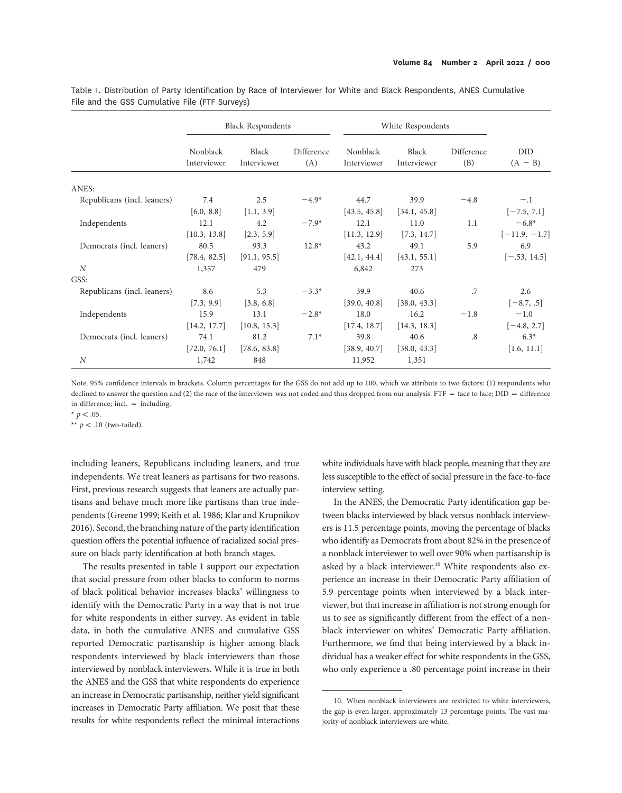Table 1. Distribution of Party Identification by Race of Interviewer for White and Black Respondents, ANES Cumulative File and the GSS Cumulative File (FTF Surveys)

|                             | <b>Black Respondents</b> |                      |                   | White Respondents       |                      |                   |                  |
|-----------------------------|--------------------------|----------------------|-------------------|-------------------------|----------------------|-------------------|------------------|
|                             | Nonblack<br>Interviewer  | Black<br>Interviewer | Difference<br>(A) | Nonblack<br>Interviewer | Black<br>Interviewer | Difference<br>(B) | DID<br>$(A - B)$ |
| ANES:                       |                          |                      |                   |                         |                      |                   |                  |
| Republicans (incl. leaners) | 7.4                      | 2.5                  | $-4.9*$           | 44.7                    | 39.9                 | $-4.8$            | $-.1$            |
|                             | [6.0, 8.8]               | [1.1, 3.9]           |                   | [43.5, 45.8]            | [34.1, 45.8]         |                   | $[-7.5, 7.1]$    |
| Independents                | 12.1                     | 4.2                  | $-7.9*$           | 12.1                    | 11.0                 | 1.1               | $-6.8*$          |
|                             | [10.3, 13.8]             | [2.3, 5.9]           |                   | [11.3, 12.9]            | [7.3, 14.7]          |                   | $[-11.9, -1.7]$  |
| Democrats (incl. leaners)   | 80.5                     | 93.3                 | $12.8*$           | 43.2                    | 49.1                 | 5.9               | 6.9              |
|                             | [78.4, 82.5]             | [91.1, 95.5]         |                   | [42.1, 44.4]            | [43.1, 55.1]         |                   | $[-.53, 14.5]$   |
| $\boldsymbol{N}$            | 1,357                    | 479                  |                   | 6,842                   | 273                  |                   |                  |
| GSS:                        |                          |                      |                   |                         |                      |                   |                  |
| Republicans (incl. leaners) | 8.6                      | 5.3                  | $-3.3*$           | 39.9                    | 40.6                 | .7                | 2.6              |
|                             | [7.3, 9.9]               | [3.8, 6.8]           |                   | [39.0, 40.8]            | [38.0, 43.3]         |                   | $[-8.7, .5]$     |
| Independents                | 15.9                     | 13.1                 | $-2.8*$           | 18.0                    | 16.2                 | $-1.8$            | $-1.0$           |
|                             | [14.2, 17.7]             | [10.8, 15.3]         |                   | [17.4, 18.7]            | [14.3, 18.3]         |                   | $[-4.8, 2.7]$    |
| Democrats (incl. leaners)   | 74.1                     | 81.2                 | $7.1*$            | 39.8                    | 40.6                 | .8                | $6.3*$           |
|                             | [72.0, 76.1]             | [78.6, 83.8]         |                   | [38.9, 40.7]            | [38.0, 43.3]         |                   | [1.6, 11.1]      |
| $\boldsymbol{N}$            | 1,742                    | 848                  |                   | 11,952                  | 1,351                |                   |                  |

Note. 95% confidence intervals in brackets. Column percentages for the GSS do not add up to 100, which we attribute to two factors: (1) respondents who declined to answer the question and (2) the race of the interviewer was not coded and thus dropped from our analysis.  $FTF =$  face to face;  $DID =$  difference in difference; incl.  $=$  including.

\*  $p < .05$ .

\*\*  $p < .10$  (two-tailed).

including leaners, Republicans including leaners, and true independents. We treat leaners as partisans for two reasons. First, previous research suggests that leaners are actually partisans and behave much more like partisans than true independents (Greene 1999; Keith et al. 1986; Klar and Krupnikov 2016). Second, the branching nature of the party identification question offers the potential influence of racialized social pressure on black party identification at both branch stages.

The results presented in table 1 support our expectation that social pressure from other blacks to conform to norms of black political behavior increases blacks' willingness to identify with the Democratic Party in a way that is not true for white respondents in either survey. As evident in table data, in both the cumulative ANES and cumulative GSS reported Democratic partisanship is higher among black respondents interviewed by black interviewers than those interviewed by nonblack interviewers. While it is true in both the ANES and the GSS that white respondents do experience an increase in Democratic partisanship, neither yield significant increases in Democratic Party affiliation. We posit that these results for white respondents reflect the minimal interactions

white individuals have with black people, meaning that they are less susceptible to the effect of social pressure in the face-to-face interview setting.

In the ANES, the Democratic Party identification gap between blacks interviewed by black versus nonblack interviewers is 11.5 percentage points, moving the percentage of blacks who identify as Democrats from about 82% in the presence of a nonblack interviewer to well over 90% when partisanship is asked by a black interviewer.<sup>10</sup> White respondents also experience an increase in their Democratic Party affiliation of 5.9 percentage points when interviewed by a black interviewer, but that increase in affiliation is not strong enough for us to see as significantly different from the effect of a nonblack interviewer on whites' Democratic Party affiliation. Furthermore, we find that being interviewed by a black individual has a weaker effect for white respondents in the GSS, who only experience a .80 percentage point increase in their

<sup>10.</sup> When nonblack interviewers are restricted to white interviewers, the gap is even larger, approximately 13 percentage points. The vast majority of nonblack interviewers are white.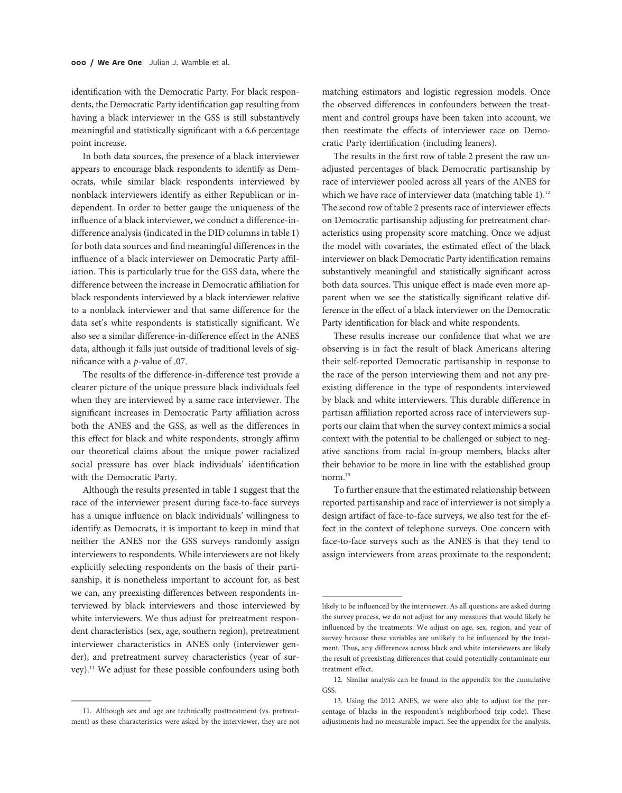identification with the Democratic Party. For black respondents, the Democratic Party identification gap resulting from having a black interviewer in the GSS is still substantively meaningful and statistically significant with a 6.6 percentage point increase.

In both data sources, the presence of a black interviewer appears to encourage black respondents to identify as Democrats, while similar black respondents interviewed by nonblack interviewers identify as either Republican or independent. In order to better gauge the uniqueness of the influence of a black interviewer, we conduct a difference-indifference analysis (indicated in the DID columns in table 1) for both data sources and find meaningful differences in the influence of a black interviewer on Democratic Party affiliation. This is particularly true for the GSS data, where the difference between the increase in Democratic affiliation for black respondents interviewed by a black interviewer relative to a nonblack interviewer and that same difference for the data set's white respondents is statistically significant. We also see a similar difference-in-difference effect in the ANES data, although it falls just outside of traditional levels of significance with a p-value of .07.

The results of the difference-in-difference test provide a clearer picture of the unique pressure black individuals feel when they are interviewed by a same race interviewer. The significant increases in Democratic Party affiliation across both the ANES and the GSS, as well as the differences in this effect for black and white respondents, strongly affirm our theoretical claims about the unique power racialized social pressure has over black individuals' identification with the Democratic Party.

Although the results presented in table 1 suggest that the race of the interviewer present during face-to-face surveys has a unique influence on black individuals' willingness to identify as Democrats, it is important to keep in mind that neither the ANES nor the GSS surveys randomly assign interviewers to respondents. While interviewers are not likely explicitly selecting respondents on the basis of their partisanship, it is nonetheless important to account for, as best we can, any preexisting differences between respondents interviewed by black interviewers and those interviewed by white interviewers. We thus adjust for pretreatment respondent characteristics (sex, age, southern region), pretreatment interviewer characteristics in ANES only (interviewer gender), and pretreatment survey characteristics (year of survey).11 We adjust for these possible confounders using both

matching estimators and logistic regression models. Once the observed differences in confounders between the treatment and control groups have been taken into account, we then reestimate the effects of interviewer race on Democratic Party identification (including leaners).

The results in the first row of table 2 present the raw unadjusted percentages of black Democratic partisanship by race of interviewer pooled across all years of the ANES for which we have race of interviewer data (matching table  $1$ ).<sup>12</sup> The second row of table 2 presents race of interviewer effects on Democratic partisanship adjusting for pretreatment characteristics using propensity score matching. Once we adjust the model with covariates, the estimated effect of the black interviewer on black Democratic Party identification remains substantively meaningful and statistically significant across both data sources. This unique effect is made even more apparent when we see the statistically significant relative difference in the effect of a black interviewer on the Democratic Party identification for black and white respondents.

These results increase our confidence that what we are observing is in fact the result of black Americans altering their self-reported Democratic partisanship in response to the race of the person interviewing them and not any preexisting difference in the type of respondents interviewed by black and white interviewers. This durable difference in partisan affiliation reported across race of interviewers supports our claim that when the survey context mimics a social context with the potential to be challenged or subject to negative sanctions from racial in-group members, blacks alter their behavior to be more in line with the established group norm<sup>13</sup>

To further ensure that the estimated relationship between reported partisanship and race of interviewer is not simply a design artifact of face-to-face surveys, we also test for the effect in the context of telephone surveys. One concern with face-to-face surveys such as the ANES is that they tend to assign interviewers from areas proximate to the respondent;

<sup>11.</sup> Although sex and age are technically posttreatment (vs. pretreatment) as these characteristics were asked by the interviewer, they are not

likely to be influenced by the interviewer. As all questions are asked during the survey process, we do not adjust for any measures that would likely be influenced by the treatments. We adjust on age, sex, region, and year of survey because these variables are unlikely to be influenced by the treatment. Thus, any differences across black and white interviewers are likely the result of preexisting differences that could potentially contaminate our treatment effect.

<sup>12.</sup> Similar analysis can be found in the appendix for the cumulative GSS.

<sup>13.</sup> Using the 2012 ANES, we were also able to adjust for the percentage of blacks in the respondent's neighborhood (zip code). These adjustments had no measurable impact. See the appendix for the analysis.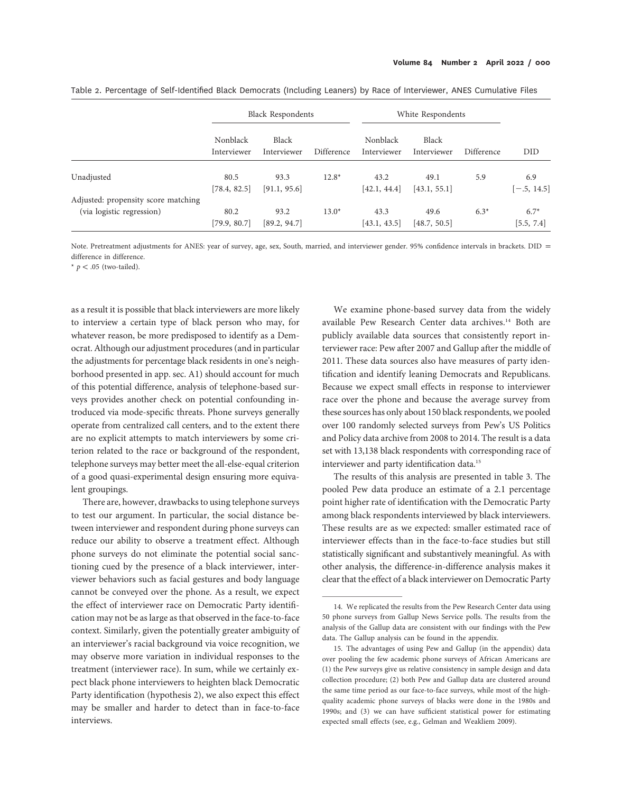|                                                                  | <b>Black Respondents</b>       |                      |            | White Respondents       |                      |            |                      |
|------------------------------------------------------------------|--------------------------------|----------------------|------------|-------------------------|----------------------|------------|----------------------|
|                                                                  | <b>Nonblack</b><br>Interviewer | Black<br>Interviewer | Difference | Nonblack<br>Interviewer | Black<br>Interviewer | Difference | DID                  |
| Unadjusted                                                       | 80.5<br>[78.4, 82.5]           | 93.3<br>[91.1, 95.6] | $12.8*$    | 43.2<br>[42.1, 44.4]    | 49.1<br>[43.1, 55.1] | 5.9        | 6.9<br>$[-.5, 14.5]$ |
| Adjusted: propensity score matching<br>(via logistic regression) | 80.2<br>[79.9, 80.7]           | 93.2<br>[89.2, 94.7] | $13.0*$    | 43.3<br>[43.1, 43.5]    | 49.6<br>[48.7, 50.5] | $6.3*$     | $6.7*$<br>[5.5, 7.4] |

Table 2. Percentage of Self-Identified Black Democrats (Including Leaners) by Race of Interviewer, ANES Cumulative Files

Note. Pretreatment adjustments for ANES: year of survey, age, sex, South, married, and interviewer gender. 95% confidence intervals in brackets. DID = difference in difference.

\*  $p < .05$  (two-tailed).

as a result it is possible that black interviewers are more likely to interview a certain type of black person who may, for whatever reason, be more predisposed to identify as a Democrat. Although our adjustment procedures (and in particular the adjustments for percentage black residents in one's neighborhood presented in app. sec. A1) should account for much of this potential difference, analysis of telephone-based surveys provides another check on potential confounding introduced via mode-specific threats. Phone surveys generally operate from centralized call centers, and to the extent there are no explicit attempts to match interviewers by some criterion related to the race or background of the respondent, telephone surveys may better meet the all-else-equal criterion of a good quasi-experimental design ensuring more equivalent groupings.

There are, however, drawbacks to using telephone surveys to test our argument. In particular, the social distance between interviewer and respondent during phone surveys can reduce our ability to observe a treatment effect. Although phone surveys do not eliminate the potential social sanctioning cued by the presence of a black interviewer, interviewer behaviors such as facial gestures and body language cannot be conveyed over the phone. As a result, we expect the effect of interviewer race on Democratic Party identification may not be as large as that observed in the face-to-face context. Similarly, given the potentially greater ambiguity of an interviewer's racial background via voice recognition, we may observe more variation in individual responses to the treatment (interviewer race). In sum, while we certainly expect black phone interviewers to heighten black Democratic Party identification (hypothesis 2), we also expect this effect may be smaller and harder to detect than in face-to-face interviews.

We examine phone-based survey data from the widely available Pew Research Center data archives.<sup>14</sup> Both are publicly available data sources that consistently report interviewer race: Pew after 2007 and Gallup after the middle of 2011. These data sources also have measures of party identification and identify leaning Democrats and Republicans. Because we expect small effects in response to interviewer race over the phone and because the average survey from these sources has only about 150 black respondents, we pooled over 100 randomly selected surveys from Pew's US Politics and Policy data archive from 2008 to 2014. The result is a data set with 13,138 black respondents with corresponding race of interviewer and party identification data.15

The results of this analysis are presented in table 3. The pooled Pew data produce an estimate of a 2.1 percentage point higher rate of identification with the Democratic Party among black respondents interviewed by black interviewers. These results are as we expected: smaller estimated race of interviewer effects than in the face-to-face studies but still statistically significant and substantively meaningful. As with other analysis, the difference-in-difference analysis makes it clear that the effect of a black interviewer on Democratic Party

<sup>14.</sup> We replicated the results from the Pew Research Center data using 50 phone surveys from Gallup News Service polls. The results from the analysis of the Gallup data are consistent with our findings with the Pew data. The Gallup analysis can be found in the appendix.

<sup>15.</sup> The advantages of using Pew and Gallup (in the appendix) data over pooling the few academic phone surveys of African Americans are (1) the Pew surveys give us relative consistency in sample design and data collection procedure; (2) both Pew and Gallup data are clustered around the same time period as our face-to-face surveys, while most of the highquality academic phone surveys of blacks were done in the 1980s and 1990s; and (3) we can have sufficient statistical power for estimating expected small effects (see, e.g., Gelman and Weakliem 2009).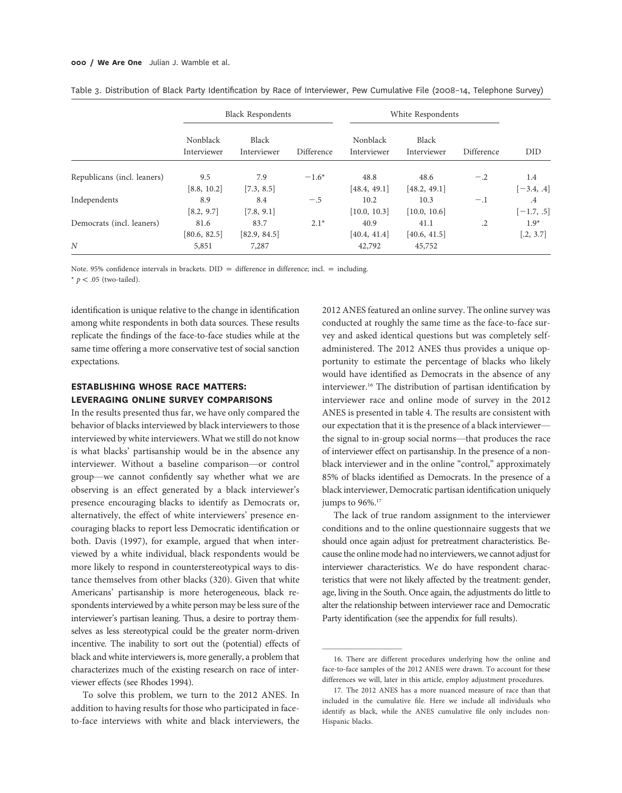|                             | <b>Black Respondents</b> |                      |            | White Respondents       |                      |            |                                 |
|-----------------------------|--------------------------|----------------------|------------|-------------------------|----------------------|------------|---------------------------------|
|                             | Nonblack<br>Interviewer  | Black<br>Interviewer | Difference | Nonblack<br>Interviewer | Black<br>Interviewer | Difference | DID                             |
| Republicans (incl. leaners) | 9.5<br>[8.8, 10.2]       | 7.9<br>[7.3, 8.5]    | $-1.6*$    | 48.8<br>[48.4, 49.1]    | 48.6<br>[48.2, 49.1] | $-.2$      | 1.4<br>$[-3.4, .4]$             |
| Independents                | 8.9<br>[8.2, 9.7]        | 8.4<br>[7.8, 9.1]    | $-.5$      | 10.2<br>[10.0, 10.3]    | 10.3<br>[10.0, 10.6] | $-.1$      | $.4\phantom{0}$<br>$[-1.7, .5]$ |
| Democrats (incl. leaners)   | 81.6<br>[80.6, 82.5]     | 83.7<br>[82.9, 84.5] | $2.1*$     | 40.9<br>[40.4, 41.4]    | 41.1<br>[40.6, 41.5] | $\cdot$ .2 | $1.9*$<br>[.2, 3.7]             |
| N                           | 5,851                    | 7,287                |            | 42,792                  | 45,752               |            |                                 |

|  |  |  | Table 3. Distribution of Black Party Identification by Race of Interviewer, Pew Cumulative File (2008-14, Telephone Survey) |  |
|--|--|--|-----------------------------------------------------------------------------------------------------------------------------|--|
|  |  |  |                                                                                                                             |  |

Note. 95% confidence intervals in brackets.  $DID =$  difference in difference; incl. = including.

\*  $p < .05$  (two-tailed).

identification is unique relative to the change in identification among white respondents in both data sources. These results replicate the findings of the face-to-face studies while at the same time offering a more conservative test of social sanction expectations.

### ESTABLISHING WHOSE RACE MATTERS: LEVERAGING ONLINE SURVEY COMPARISONS

In the results presented thus far, we have only compared the behavior of blacks interviewed by black interviewers to those interviewed by white interviewers. What we still do not know is what blacks' partisanship would be in the absence any interviewer. Without a baseline comparison—or control group—we cannot confidently say whether what we are observing is an effect generated by a black interviewer's presence encouraging blacks to identify as Democrats or, alternatively, the effect of white interviewers' presence encouraging blacks to report less Democratic identification or both. Davis (1997), for example, argued that when interviewed by a white individual, black respondents would be more likely to respond in counterstereotypical ways to distance themselves from other blacks (320). Given that white Americans' partisanship is more heterogeneous, black respondents interviewed by a white person may be less sure of the interviewer's partisan leaning. Thus, a desire to portray themselves as less stereotypical could be the greater norm-driven incentive. The inability to sort out the (potential) effects of black and white interviewers is, more generally, a problem that characterizes much of the existing research on race of interviewer effects (see Rhodes 1994).

To solve this problem, we turn to the 2012 ANES. In addition to having results for those who participated in faceto-face interviews with white and black interviewers, the 2012 ANES featured an online survey. The online survey was conducted at roughly the same time as the face-to-face survey and asked identical questions but was completely selfadministered. The 2012 ANES thus provides a unique opportunity to estimate the percentage of blacks who likely would have identified as Democrats in the absence of any interviewer.16 The distribution of partisan identification by interviewer race and online mode of survey in the 2012 ANES is presented in table 4. The results are consistent with our expectation that it is the presence of a black interviewer the signal to in-group social norms—that produces the race of interviewer effect on partisanship. In the presence of a nonblack interviewer and in the online "control," approximately 85% of blacks identified as Democrats. In the presence of a black interviewer, Democratic partisan identification uniquely jumps to  $96\%$ <sup>17</sup>

The lack of true random assignment to the interviewer conditions and to the online questionnaire suggests that we should once again adjust for pretreatment characteristics. Because the online mode had no interviewers, we cannot adjust for interviewer characteristics. We do have respondent characteristics that were not likely affected by the treatment: gender, age, living in the South. Once again, the adjustments do little to alter the relationship between interviewer race and Democratic Party identification (see the appendix for full results).

<sup>16.</sup> There are different procedures underlying how the online and face-to-face samples of the 2012 ANES were drawn. To account for these differences we will, later in this article, employ adjustment procedures.

<sup>17.</sup> The 2012 ANES has a more nuanced measure of race than that included in the cumulative file. Here we include all individuals who identify as black, while the ANES cumulative file only includes non-Hispanic blacks.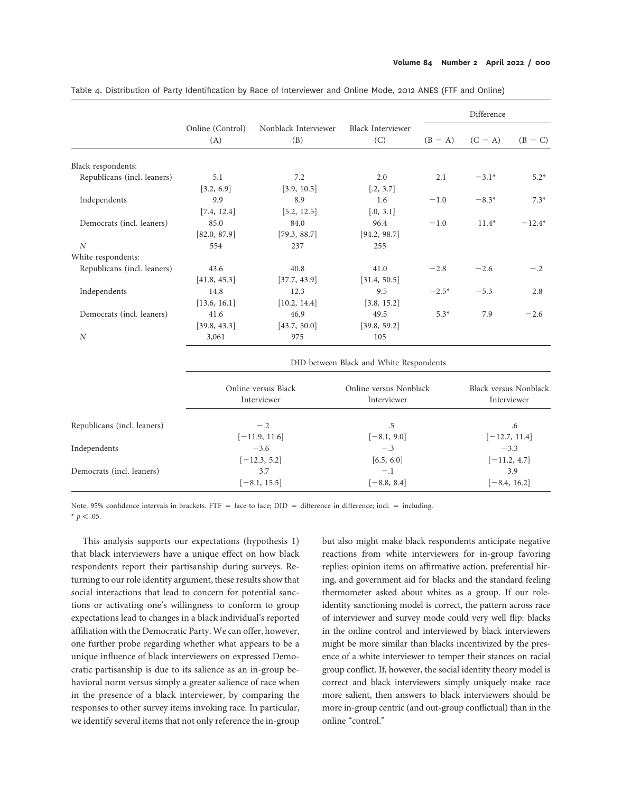|                             |                                         |                             |                                 | Difference     |                       |                 |  |  |  |
|-----------------------------|-----------------------------------------|-----------------------------|---------------------------------|----------------|-----------------------|-----------------|--|--|--|
|                             | Online (Control)<br>(A)                 | Nonblack Interviewer<br>(B) | <b>Black Interviewer</b><br>(C) | $(B - A)$      | $(C - A)$             | $(B - C)$       |  |  |  |
| Black respondents:          |                                         |                             |                                 |                |                       |                 |  |  |  |
| Republicans (incl. leaners) | 5.1                                     | 7.2                         | 2.0                             | 2.1            | $-3.1*$               | $5.2*$          |  |  |  |
|                             | [3.2, 6.9]                              | [3.9, 10.5]                 | [.2, 3.7]                       |                |                       |                 |  |  |  |
| Independents                | 9.9                                     | 8.9                         | 1.6                             | $-1.0$         | $-8.3*$               | $7.3*$          |  |  |  |
|                             | [7.4, 12.4]                             | [5.2, 12.5]                 | [.0, 3.1]                       |                |                       |                 |  |  |  |
| Democrats (incl. leaners)   | 85.0                                    | 84.0                        | 96.4                            | $-1.0$         | $11.4*$               | $-12.4*$        |  |  |  |
|                             | [82.0, 87.9]                            | [79.3, 88.7]                | [94.2, 98.7]                    |                |                       |                 |  |  |  |
| $\boldsymbol{N}$            | 554                                     | 237                         | 255                             |                |                       |                 |  |  |  |
| White respondents:          |                                         |                             |                                 |                |                       |                 |  |  |  |
| Republicans (incl. leaners) | 43.6                                    | 40.8                        | 41.0                            | $-2.8$         | $-2.6$                | $-.2$           |  |  |  |
|                             | [41.8, 45.3]                            | [37.7, 43.9]                | [31.4, 50.5]                    |                |                       |                 |  |  |  |
| Independents                | 14.8                                    | 12.3                        | 9.5                             | $-2.5*$        | $-5.3$                | 2.8             |  |  |  |
|                             | [13.6, 16.1]                            | [10.2, 14.4]                | [3.8, 15.2]                     |                |                       |                 |  |  |  |
| Democrats (incl. leaners)   | 41.6                                    | 46.9                        | 49.5                            | $5.3*$         | 7.9                   | $-2.6$          |  |  |  |
|                             | [39.8, 43.3]                            | [43.7, 50.0]                | [39.8, 59.2]                    |                |                       |                 |  |  |  |
| $\cal N$                    | 3,061                                   | 975                         | 105                             |                |                       |                 |  |  |  |
|                             | DID between Black and White Respondents |                             |                                 |                |                       |                 |  |  |  |
|                             |                                         | Online versus Black         | Online versus Nonblack          |                | Black versus Nonblack |                 |  |  |  |
|                             |                                         | Interviewer                 | Interviewer                     |                |                       | Interviewer     |  |  |  |
| Republicans (incl. leaners) |                                         | $-.2$                       | $.5\,$                          |                |                       | .6              |  |  |  |
|                             |                                         | $[-11.9, 11.6]$             | $[-8.1, 9.0]$                   |                |                       | $[-12.7, 11.4]$ |  |  |  |
| Independents                |                                         | $-3.6$                      | $-.3$                           |                | $-3.3$                |                 |  |  |  |
|                             |                                         | $[-12.3, 5.2]$              | [6.5, 6.0]                      |                |                       | $[-11.2, 4.7]$  |  |  |  |
| Democrats (incl. leaners)   |                                         | 3.7                         | $-.1$                           |                |                       | 3.9             |  |  |  |
|                             |                                         | $[-8.1, 15.5]$              | $[-8.8, 8.4]$                   | $[-8.4, 16.2]$ |                       |                 |  |  |  |

Table 4. Distribution of Party Identification by Race of Interviewer and Online Mode, 2012 ANES (FTF and Online)

Note. 95% confidence intervals in brackets. FTF = face to face;  $DID =$  difference in difference; incl. = including.  $*$  p < .05.

This analysis supports our expectations (hypothesis 1) that black interviewers have a unique effect on how black respondents report their partisanship during surveys. Returning to our role identity argument, these results show that social interactions that lead to concern for potential sanctions or activating one's willingness to conform to group expectations lead to changes in a black individual's reported affiliation with the Democratic Party. We can offer, however, one further probe regarding whether what appears to be a unique influence of black interviewers on expressed Democratic partisanship is due to its salience as an in-group behavioral norm versus simply a greater salience of race when in the presence of a black interviewer, by comparing the responses to other survey items invoking race. In particular, we identify several items that not only reference the in-group

but also might make black respondents anticipate negative reactions from white interviewers for in-group favoring replies: opinion items on affirmative action, preferential hiring, and government aid for blacks and the standard feeling thermometer asked about whites as a group. If our roleidentity sanctioning model is correct, the pattern across race of interviewer and survey mode could very well flip: blacks in the online control and interviewed by black interviewers might be more similar than blacks incentivized by the presence of a white interviewer to temper their stances on racial group conflict. If, however, the social identity theory model is correct and black interviewers simply uniquely make race more salient, then answers to black interviewers should be more in-group centric (and out-group conflictual) than in the online "control."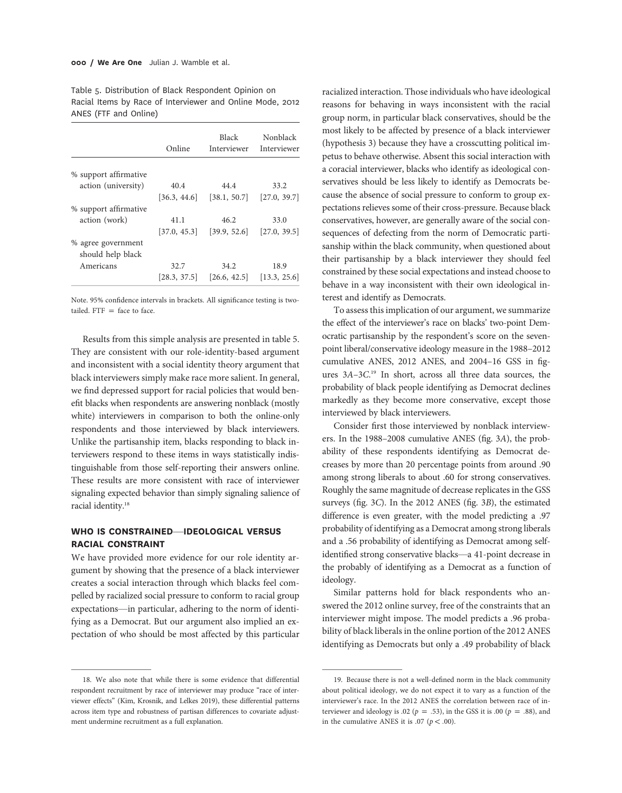Table 5. Distribution of Black Respondent Opinion on Racial Items by Race of Interviewer and Online Mode, 2012 ANES (FTF and Online)

| Online       | <b>Black</b><br>Interviewer | Nonblack<br>Interviewer  |
|--------------|-----------------------------|--------------------------|
|              |                             |                          |
|              |                             |                          |
| 40.4         | 44.4                        | 33.2                     |
| [36.3, 44.6] | [38.1, 50.7]                | [27.0, 39.7]             |
|              |                             |                          |
| 41.1         | 46.2                        | 33.0                     |
| [37.0, 45.3] | [39.9, 52.6]                | [27.0, 39.5]             |
|              |                             |                          |
|              |                             |                          |
| 32.7         | 34.2                        | 18.9                     |
| [28.3, 37.5] | [26.6, 42.5]                | $\vert 13.3, 25.6 \vert$ |
|              |                             |                          |

Note. 95% confidence intervals in brackets. All significance testing is twotailed.  $FTF =$  face to face.

Results from this simple analysis are presented in table 5. They are consistent with our role-identity-based argument and inconsistent with a social identity theory argument that black interviewers simply make race more salient. In general, we find depressed support for racial policies that would benefit blacks when respondents are answering nonblack (mostly white) interviewers in comparison to both the online-only respondents and those interviewed by black interviewers. Unlike the partisanship item, blacks responding to black interviewers respond to these items in ways statistically indistinguishable from those self-reporting their answers online. These results are more consistent with race of interviewer signaling expected behavior than simply signaling salience of racial identity.<sup>18</sup>

#### WHO IS CONSTRAINED—IDEOLOGICAL VERSUS RACIAL CONSTRAINT

We have provided more evidence for our role identity argument by showing that the presence of a black interviewer creates a social interaction through which blacks feel compelled by racialized social pressure to conform to racial group expectations—in particular, adhering to the norm of identifying as a Democrat. But our argument also implied an expectation of who should be most affected by this particular

18. We also note that while there is some evidence that differential respondent recruitment by race of interviewer may produce "race of interviewer effects" (Kim, Krosnik, and Lelkes 2019), these differential patterns across item type and robustness of partisan differences to covariate adjustment undermine recruitment as a full explanation.

racialized interaction. Those individuals who have ideological reasons for behaving in ways inconsistent with the racial group norm, in particular black conservatives, should be the most likely to be affected by presence of a black interviewer (hypothesis 3) because they have a crosscutting political impetus to behave otherwise. Absent this social interaction with a coracial interviewer, blacks who identify as ideological conservatives should be less likely to identify as Democrats because the absence of social pressure to conform to group expectations relieves some of their cross-pressure. Because black conservatives, however, are generally aware of the social consequences of defecting from the norm of Democratic partisanship within the black community, when questioned about their partisanship by a black interviewer they should feel constrained by these social expectations and instead choose to behave in a way inconsistent with their own ideological interest and identify as Democrats.

To assess this implication of our argument, we summarize the effect of the interviewer's race on blacks' two-point Democratic partisanship by the respondent's score on the sevenpoint liberal/conservative ideology measure in the 1988–2012 cumulative ANES, 2012 ANES, and 2004–16 GSS in figures 3A–3C. <sup>19</sup> In short, across all three data sources, the probability of black people identifying as Democrat declines markedly as they become more conservative, except those interviewed by black interviewers.

Consider first those interviewed by nonblack interviewers. In the 1988–2008 cumulative ANES (fig. 3A), the probability of these respondents identifying as Democrat decreases by more than 20 percentage points from around .90 among strong liberals to about .60 for strong conservatives. Roughly the same magnitude of decrease replicates in the GSS surveys (fig. 3C). In the 2012 ANES (fig. 3B), the estimated difference is even greater, with the model predicting a .97 probability of identifying as a Democrat among strong liberals and a .56 probability of identifying as Democrat among selfidentified strong conservative blacks—a 41-point decrease in the probably of identifying as a Democrat as a function of ideology.

Similar patterns hold for black respondents who answered the 2012 online survey, free of the constraints that an interviewer might impose. The model predicts a .96 probability of black liberals in the online portion of the 2012 ANES identifying as Democrats but only a .49 probability of black

<sup>19.</sup> Because there is not a well-defined norm in the black community about political ideology, we do not expect it to vary as a function of the interviewer's race. In the 2012 ANES the correlation between race of interviewer and ideology is .02 ( $p = .53$ ), in the GSS it is .00 ( $p = .88$ ), and in the cumulative ANES it is .07 ( $p < .00$ ).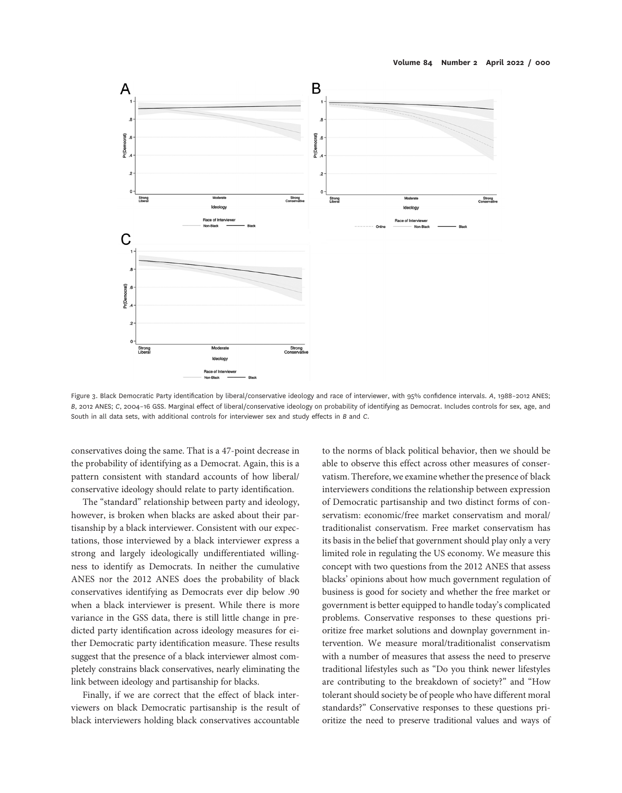

Figure 3. Black Democratic Party identification by liberal/conservative ideology and race of interviewer, with 95% confidence intervals. A, 1988-2012 ANES; B, 2012 ANES; C, 2004–16 GSS. Marginal effect of liberal/conservative ideology on probability of identifying as Democrat. Includes controls for sex, age, and South in all data sets, with additional controls for interviewer sex and study effects in B and C.

conservatives doing the same. That is a 47-point decrease in the probability of identifying as a Democrat. Again, this is a pattern consistent with standard accounts of how liberal/ conservative ideology should relate to party identification.

The "standard" relationship between party and ideology, however, is broken when blacks are asked about their partisanship by a black interviewer. Consistent with our expectations, those interviewed by a black interviewer express a strong and largely ideologically undifferentiated willingness to identify as Democrats. In neither the cumulative ANES nor the 2012 ANES does the probability of black conservatives identifying as Democrats ever dip below .90 when a black interviewer is present. While there is more variance in the GSS data, there is still little change in predicted party identification across ideology measures for either Democratic party identification measure. These results suggest that the presence of a black interviewer almost completely constrains black conservatives, nearly eliminating the link between ideology and partisanship for blacks.

Finally, if we are correct that the effect of black interviewers on black Democratic partisanship is the result of black interviewers holding black conservatives accountable

to the norms of black political behavior, then we should be able to observe this effect across other measures of conservatism. Therefore, we examine whether the presence of black interviewers conditions the relationship between expression of Democratic partisanship and two distinct forms of conservatism: economic/free market conservatism and moral/ traditionalist conservatism. Free market conservatism has its basis in the belief that government should play only a very limited role in regulating the US economy. We measure this concept with two questions from the 2012 ANES that assess blacks' opinions about how much government regulation of business is good for society and whether the free market or government is better equipped to handle today's complicated problems. Conservative responses to these questions prioritize free market solutions and downplay government intervention. We measure moral/traditionalist conservatism with a number of measures that assess the need to preserve traditional lifestyles such as "Do you think newer lifestyles are contributing to the breakdown of society?" and "How tolerant should society be of people who have different moral standards?" Conservative responses to these questions prioritize the need to preserve traditional values and ways of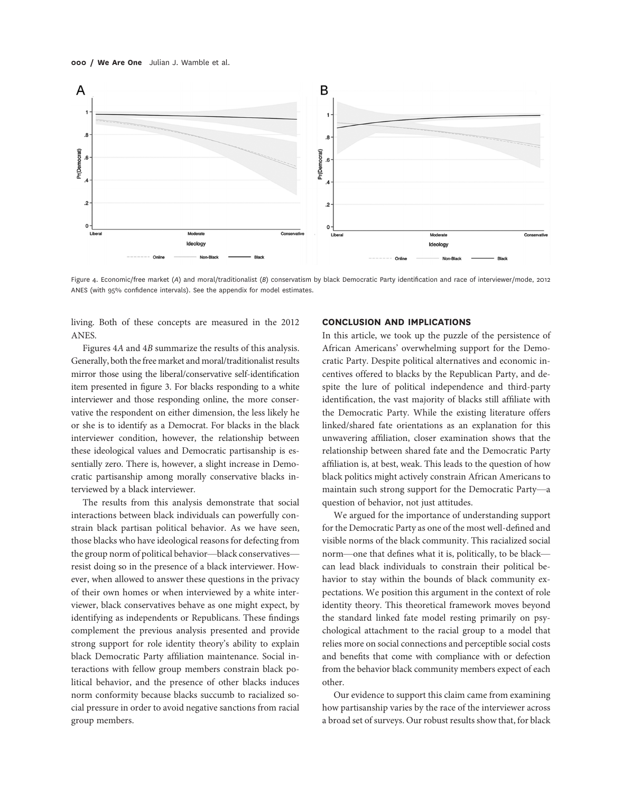

Figure 4. Economic/free market (A) and moral/traditionalist (B) conservatism by black Democratic Party identification and race of interviewer/mode, 2012 ANES (with 95% confidence intervals). See the appendix for model estimates.

living. Both of these concepts are measured in the 2012 ANES.

Figures 4A and 4B summarize the results of this analysis. Generally, both the free market and moral/traditionalist results mirror those using the liberal/conservative self-identification item presented in figure 3. For blacks responding to a white interviewer and those responding online, the more conservative the respondent on either dimension, the less likely he or she is to identify as a Democrat. For blacks in the black interviewer condition, however, the relationship between these ideological values and Democratic partisanship is essentially zero. There is, however, a slight increase in Democratic partisanship among morally conservative blacks interviewed by a black interviewer.

The results from this analysis demonstrate that social interactions between black individuals can powerfully constrain black partisan political behavior. As we have seen, those blacks who have ideological reasons for defecting from the group norm of political behavior—black conservatives resist doing so in the presence of a black interviewer. However, when allowed to answer these questions in the privacy of their own homes or when interviewed by a white interviewer, black conservatives behave as one might expect, by identifying as independents or Republicans. These findings complement the previous analysis presented and provide strong support for role identity theory's ability to explain black Democratic Party affiliation maintenance. Social interactions with fellow group members constrain black political behavior, and the presence of other blacks induces norm conformity because blacks succumb to racialized social pressure in order to avoid negative sanctions from racial group members.

#### CONCLUSION AND IMPLICATIONS

In this article, we took up the puzzle of the persistence of African Americans' overwhelming support for the Democratic Party. Despite political alternatives and economic incentives offered to blacks by the Republican Party, and despite the lure of political independence and third-party identification, the vast majority of blacks still affiliate with the Democratic Party. While the existing literature offers linked/shared fate orientations as an explanation for this unwavering affiliation, closer examination shows that the relationship between shared fate and the Democratic Party affiliation is, at best, weak. This leads to the question of how black politics might actively constrain African Americans to maintain such strong support for the Democratic Party—a question of behavior, not just attitudes.

We argued for the importance of understanding support for the Democratic Party as one of the most well-defined and visible norms of the black community. This racialized social norm—one that defines what it is, politically, to be black can lead black individuals to constrain their political behavior to stay within the bounds of black community expectations. We position this argument in the context of role identity theory. This theoretical framework moves beyond the standard linked fate model resting primarily on psychological attachment to the racial group to a model that relies more on social connections and perceptible social costs and benefits that come with compliance with or defection from the behavior black community members expect of each other.

Our evidence to support this claim came from examining how partisanship varies by the race of the interviewer across a broad set of surveys. Our robust results show that, for black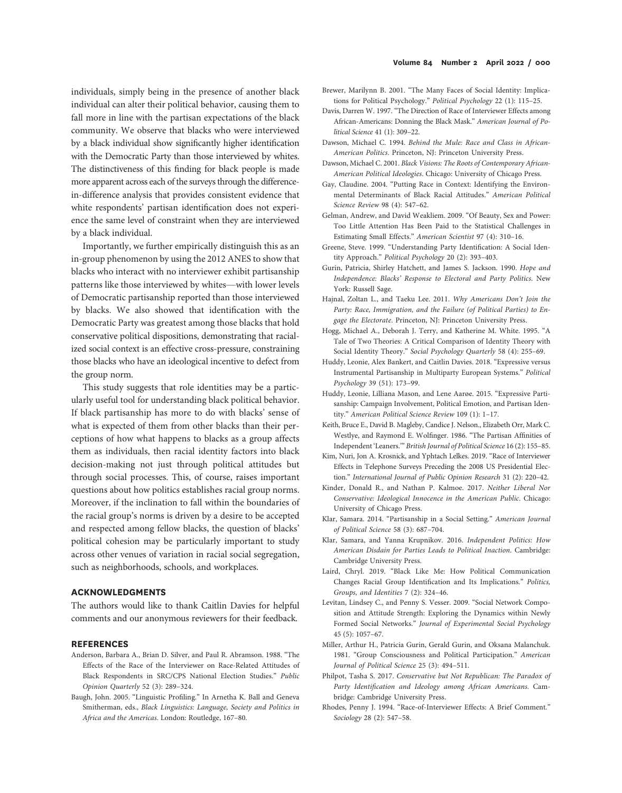individuals, simply being in the presence of another black individual can alter their political behavior, causing them to fall more in line with the partisan expectations of the black community. We observe that blacks who were interviewed by a black individual show significantly higher identification with the Democratic Party than those interviewed by whites. The distinctiveness of this finding for black people is made more apparent across each of the surveys through the differencein-difference analysis that provides consistent evidence that white respondents' partisan identification does not experience the same level of constraint when they are interviewed by a black individual.

Importantly, we further empirically distinguish this as an in-group phenomenon by using the 2012 ANES to show that blacks who interact with no interviewer exhibit partisanship patterns like those interviewed by whites—with lower levels of Democratic partisanship reported than those interviewed by blacks. We also showed that identification with the Democratic Party was greatest among those blacks that hold conservative political dispositions, demonstrating that racialized social context is an effective cross-pressure, constraining those blacks who have an ideological incentive to defect from the group norm.

This study suggests that role identities may be a particularly useful tool for understanding black political behavior. If black partisanship has more to do with blacks' sense of what is expected of them from other blacks than their perceptions of how what happens to blacks as a group affects them as individuals, then racial identity factors into black decision-making not just through political attitudes but through social processes. This, of course, raises important questions about how politics establishes racial group norms. Moreover, if the inclination to fall within the boundaries of the racial group's norms is driven by a desire to be accepted and respected among fellow blacks, the question of blacks' political cohesion may be particularly important to study across other venues of variation in racial social segregation, such as neighborhoods, schools, and workplaces.

#### ACKNOWLEDGMENTS

The authors would like to thank Caitlin Davies for helpful comments and our anonymous reviewers for their feedback.

#### **REFERENCES**

- Anderson, Barbara A., Brian D. Silver, and Paul R. Abramson. 1988. "The Effects of the Race of the Interviewer on Race-Related Attitudes of Black Respondents in SRC/CPS National Election Studies." Public Opinion Quarterly 52 (3): 289–324.
- Baugh, John. 2005. "Linguistic Profiling." In Arnetha K. Ball and Geneva Smitherman, eds., Black Linguistics: Language, Society and Politics in Africa and the Americas. London: Routledge, 167–80.
- Brewer, Marilynn B. 2001. "The Many Faces of Social Identity: Implications for Political Psychology." Political Psychology 22 (1): 115–25.
- Davis, Darren W. 1997. "The Direction of Race of Interviewer Effects among African-Americans: Donning the Black Mask." American Journal of Political Science 41 (1): 309–22.
- Dawson, Michael C. 1994. Behind the Mule: Race and Class in African-American Politics. Princeton, NJ: Princeton University Press.
- Dawson, Michael C. 2001. Black Visions: The Roots of Contemporary African-American Political Ideologies. Chicago: University of Chicago Press.
- Gay, Claudine. 2004. "Putting Race in Context: Identifying the Environmental Determinants of Black Racial Attitudes." American Political Science Review 98 (4): 547–62.
- Gelman, Andrew, and David Weakliem. 2009. "Of Beauty, Sex and Power: Too Little Attention Has Been Paid to the Statistical Challenges in Estimating Small Effects." American Scientist 97 (4): 310–16.
- Greene, Steve. 1999. "Understanding Party Identification: A Social Identity Approach." Political Psychology 20 (2): 393–403.
- Gurin, Patricia, Shirley Hatchett, and James S. Jackson. 1990. Hope and Independence: Blacks' Response to Electoral and Party Politics. New York: Russell Sage.
- Hajnal, Zoltan L., and Taeku Lee. 2011. Why Americans Don't Join the Party: Race, Immigration, and the Failure (of Political Parties) to Engage the Electorate. Princeton, NJ: Princeton University Press.
- Hogg, Michael A., Deborah J. Terry, and Katherine M. White. 1995. "A Tale of Two Theories: A Critical Comparison of Identity Theory with Social Identity Theory." Social Psychology Quarterly 58 (4): 255–69.
- Huddy, Leonie, Alex Bankert, and Caitlin Davies. 2018. "Expressive versus Instrumental Partisanship in Multiparty European Systems." Political Psychology 39 (51): 173–99.
- Huddy, Leonie, Lilliana Mason, and Lene Aarøe. 2015. "Expressive Partisanship: Campaign Involvement, Political Emotion, and Partisan Identity." American Political Science Review 109 (1): 1–17.
- Keith, Bruce E., David B. Magleby, Candice J. Nelson., Elizabeth Orr, Mark C. Westlye, and Raymond E. Wolfinger. 1986. "The Partisan Affinities of Independent 'Leaners.'" British Journal of Political Science 16 (2): 155–85.
- Kim, Nuri, Jon A. Krosnick, and Yphtach Lelkes. 2019. "Race of Interviewer Effects in Telephone Surveys Preceding the 2008 US Presidential Election." International Journal of Public Opinion Research 31 (2): 220–42.
- Kinder, Donald R., and Nathan P. Kalmoe. 2017. Neither Liberal Nor Conservative: Ideological Innocence in the American Public. Chicago: University of Chicago Press.
- Klar, Samara. 2014. "Partisanship in a Social Setting." American Journal of Political Science 58 (3): 687–704.
- Klar, Samara, and Yanna Krupnikov. 2016. Independent Politics: How American Disdain for Parties Leads to Political Inaction. Cambridge: Cambridge University Press.
- Laird, Chryl. 2019. "Black Like Me: How Political Communication Changes Racial Group Identification and Its Implications." Politics, Groups, and Identities 7 (2): 324–46.
- Levitan, Lindsey C., and Penny S. Vesser. 2009. "Social Network Composition and Attitude Strength: Exploring the Dynamics within Newly Formed Social Networks." Journal of Experimental Social Psychology 45 (5): 1057–67.
- Miller, Arthur H., Patricia Gurin, Gerald Gurin, and Oksana Malanchuk. 1981. "Group Consciousness and Political Participation." American Journal of Political Science 25 (3): 494–511.
- Philpot, Tasha S. 2017. Conservative but Not Republican: The Paradox of Party Identification and Ideology among African Americans. Cambridge: Cambridge University Press.
- Rhodes, Penny J. 1994. "Race-of-Interviewer Effects: A Brief Comment." Sociology 28 (2): 547–58.